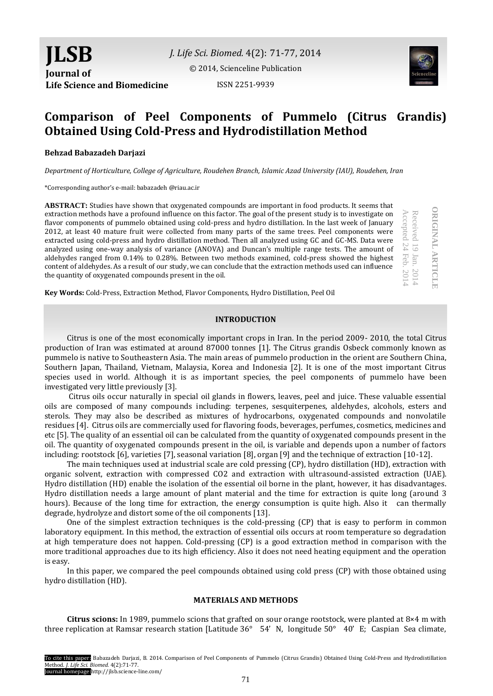**JLSB Journal of Life Science and Biomedicine**

*J. Life Sci. Biomed.* 4(2): 71-77, 2014 [© 2014, Scienceline Publication](http://www.science-line.com/index/)

ISSN 2251-9939



# **Comparison of Peel Components of Pummelo (Citrus Grandis) Obtained Using Cold-Press and Hydrodistillation Method**

# **Behzad Babazadeh Darjazi**

*Department of Horticulture, College of Agriculture, Roudehen Branch, Islamic Azad University (IAU), Roudehen, Iran*

\*Corresponding author's e-mail: babazadeh @riau.ac.ir

**ABSTRACT:** Studies have shown that oxygenated compounds are important in food products. It seems that extraction methods have a profound influence on this factor. The goal of the present study is to investigate on flavor components of pummelo obtained using cold-press and hydro distillation. In the last week of January 2012, at least 40 mature fruit were collected from many parts of the same trees. Peel components were extracted using cold-press and hydro distillation method. Then all analyzed using GC and GC-MS. Data were analyzed using one-way analysis of variance (ANOVA) and Duncan's multiple range tests. The amount of aldehydes ranged from 0.14% to 0.28%. Between two methods examined, cold-press showed the highest content of aldehydes. As a result of our study, we can conclude that the extraction methods used can influence the quantity of oxygenated compounds present in the oil.

**ORIGINAL ARTICLE ORIGINAL ARTICLE** Received 19 Jan. 201 4

Accepted 24

Accepted

Feb. 201 4

**Key Words:** Cold-Press, Extraction Method, Flavor Components, Hydro Distillation, Peel Oil

#### **INTRODUCTION**

Citrus is one of the most economically important crops in Iran. In the period 2009- 2010, the total Citrus production of Iran was estimated at around 87000 tonnes [1]. The Citrus grandis Osbeck commonly known as pummelo is native to Southeastern Asia. The main areas of pummelo production in the orient are Southern China, Southern Japan, Thailand, Vietnam, Malaysia, Korea and Indonesia [2]. It is one of the most important Citrus species used in world. Although it is as important species, the peel components of pummelo have been investigated very little previously [3].

Citrus oils occur naturally in special oil glands in flowers, leaves, peel and juice. These valuable essential oils are composed of many compounds including: terpenes, sesquiterpenes, aldehydes, alcohols, esters and sterols. They may also be described as mixtures of hydrocarbons, oxygenated compounds and nonvolatile residues [4]. Citrus oils are commercially used for flavoring foods, beverages, perfumes, cosmetics, medicines and etc [5]. The quality of an essential oil can be calculated from the quantity of oxygenated compounds present in the oil. The quantity of oxygenated compounds present in the oil, is variable and depends upon a number of factors including: rootstock [6], varieties [7], seasonal variation [8], organ [9] and the technique of extraction [10-12].

The main techniques used at industrial scale are cold pressing (CP), hydro distillation (HD), extraction with organic solvent, extraction with compressed CO2 and extraction with ultrasound-assisted extraction (UAE). Hydro distillation (HD) enable the isolation of the essential oil borne in the plant, however, it has disadvantages. Hydro distillation needs a large amount of plant material and the time for extraction is quite long (around 3 hours). Because of the long time for extraction, the energy consumption is quite high. Also it can thermally degrade, hydrolyze and distort some of the oil components [13].

One of the simplest extraction techniques is the cold-pressing (CP) that is easy to perform in common laboratory equipment. In this method, the extraction of essential oils occurs at room temperature so degradation at high temperature does not happen. Cold-pressing (CP) is a good extraction method in comparison with the more traditional approaches due to its high efficiency. Also it does not need heating equipment and the operation is easy.

In this paper, we compared the peel compounds obtained using cold press (CP) with those obtained using hydro distillation (HD).

#### **MATERIALS AND METHODS**

**Citrus scions:** In 1989, pummelo scions that grafted on sour orange rootstock, were planted at 8×4 m with three replication at Ramsar research station [Latitude 36° 54' N, longitude 50° 40' E; Caspian Sea climate,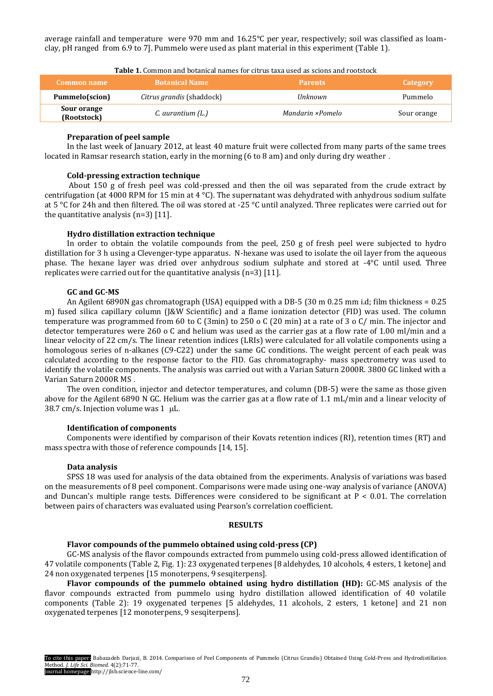average rainfall and temperature were 970 mm and 16.25°C per year, respectively; soil was classified as loamclay, pH ranged from 6.9 to 7]. Pummelo were used as plant material in this experiment (Table 1).

| Common name                | <b>Botanical Name</b>            | <b>Parents</b>   | Category    |
|----------------------------|----------------------------------|------------------|-------------|
| Pummelo(scion)             | <i>Citrus grandis</i> (shaddock) | Unknown          | Pummelo     |
| Sour orange<br>(Rootstock) | C. aurantium (L.)                | Mandarin ×Pomelo | Sour orange |

**Table 1.** Common and botanical names for citrus taxa used as scions and rootstock

# **Preparation of peel sample**

In the last week of January 2012, at least 40 mature fruit were collected from many parts of the same trees located in Ramsar research station, early in the morning (6 to 8 am) and only during dry weather .

# **Cold-pressing extraction technique**

About 150 g of fresh peel was cold-pressed and then the oil was separated from the crude extract by centrifugation (at 4000 RPM for 15 min at 4 °C). The supernatant was dehydrated with anhydrous sodium sulfate at 5 °C for 24h and then filtered. The oil was stored at -25 °C until analyzed. Three replicates were carried out for the quantitative analysis (n=3) [11].

# **Hydro distillation extraction technique**

In order to obtain the volatile compounds from the peel, 250 g of fresh peel were subjected to hydro distillation for 3 h using a Clevenger-type apparatus. N-hexane was used to isolate the oil layer from the aqueous phase. The hexane layer was dried over anhydrous sodium sulphate and stored at -4°C until used. Three replicates were carried out for the quantitative analysis (n=3) [11].

# **GC and GC-MS**

An Agilent 6890N gas chromatograph (USA) equipped with a DB-5 (30 m 0.25 mm i.d; film thickness = 0.25 m) fused silica capillary column (J&W Scientific) and a flame ionization detector (FID) was used. The column temperature was programmed from 60 to C (3min) to 250 o C (20 min) at a rate of 3 o C/ min. The injector and detector temperatures were 260 o C and helium was used as the carrier gas at a flow rate of 1.00 ml/min and a linear velocity of 22 cm/s. The linear retention indices (LRIs) were calculated for all volatile components using a homologous series of n-alkanes (C9-C22) under the same GC conditions. The weight percent of each peak was calculated according to the response factor to the FID. Gas chromatography- mass spectrometry was used to identify the volatile components. The analysis was carried out with a Varian Saturn 2000R. 3800 GC linked with a Varian Saturn 2000R MS .

The oven condition, injector and detector temperatures, and column (DB-5) were the same as those given above for the Agilent 6890 N GC. Helium was the carrier gas at a flow rate of 1.1 mL/min and a linear velocity of 38.7 cm/s. Injection volume was  $1 \mu$ L.

#### **Identification of components**

Components were identified by comparison of their Kovats retention indices (RI), retention times (RT) and mass spectra with those of reference compounds [14, 15].

# **Data analysis**

SPSS 18 was used for analysis of the data obtained from the experiments. Analysis of variations was based on the measurements of 8 peel component. Comparisons were made using one-way analysis of variance (ANOVA) and Duncan's multiple range tests. Differences were considered to be significant at  $P < 0.01$ . The correlation between pairs of characters was evaluated using Pearson's correlation coefficient.

# **RESULTS**

#### **Flavor compounds of the pummelo obtained using cold-press (CP)**

GC-MS analysis of the flavor compounds extracted from pummelo using cold-press allowed identification of 47 volatile components (Table 2, Fig. 1): 23 oxygenated terpenes [8 aldehydes, 10 alcohols, 4 esters, 1 ketone] and 24 non oxygenated terpenes [15 monoterpens, 9 sesqiterpens].

**Flavor compounds of the pummelo obtained using hydro distillation (HD):** GC-MS analysis of the flavor compounds extracted from pummelo using hydro distillation allowed identification of 40 volatile components (Table 2): 19 oxygenated terpenes [5 aldehydes, 11 alcohols, 2 esters, 1 ketone] and 21 non oxygenated terpenes [12 monoterpens, 9 sesqiterpens].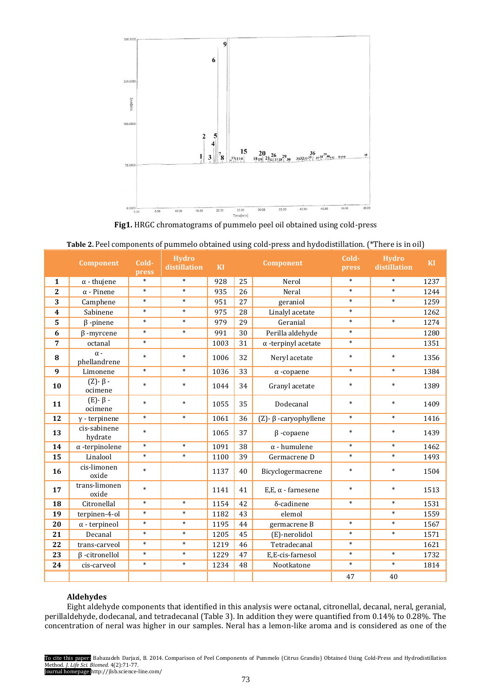

**Fig1.** HRGC chromatograms of pummelo peel oil obtained using cold-press

| Table 2. Feel components of pummelo obtained using cold-press and hydrodistination. There is in on J |                              |                |                              |      |                                  |                                |                |                              |      |
|------------------------------------------------------------------------------------------------------|------------------------------|----------------|------------------------------|------|----------------------------------|--------------------------------|----------------|------------------------------|------|
|                                                                                                      | <b>Component</b>             | Cold-<br>press | <b>Hydro</b><br>distillation | KI   | <b>Component</b>                 |                                | Cold-<br>press | <b>Hydro</b><br>distillation | KI   |
| $\mathbf{1}$                                                                                         | $\alpha$ - thujene           | $\ast$         | $\ast$                       | 928  | 25                               | Nerol                          | $\ast$         | $\ast$                       | 1237 |
| $\overline{2}$                                                                                       | $\alpha$ - Pinene            | $\ast$         | $\ast$                       | 935  | 26                               | Neral                          | $\ast$         | $\ast$                       | 1244 |
| 3                                                                                                    | Camphene                     | $\ast$         | $\ast$                       | 951  | 27                               | geraniol                       | $\ast$         | $\ast$                       | 1259 |
| $\overline{\mathbf{4}}$                                                                              | Sabinene                     | $\ast$         | $\ast$                       | 975  | 28                               | Linalyl acetate                | $\ast$         |                              | 1262 |
| 5                                                                                                    | $\beta$ -pinene              | $\ast$         | $\ast$                       | 979  | 29                               | Geranial                       | $\ast$         | $\ast$                       | 1274 |
| 6                                                                                                    | $\beta$ -myrcene             | $\ast$         | $\ast$                       | 991  | 30                               | Perilla aldehyde               | $\ast$         |                              | 1280 |
| $\overline{7}$                                                                                       | octanal                      | $\ast$         |                              | 1003 | 31                               | $\alpha$ -terpinyl acetate     | $\ast$         |                              | 1351 |
| 8                                                                                                    | $\alpha$ -<br>phellandrene   | $\ast$         | $\ast$                       | 1006 | 32                               | Neryl acetate                  | $\ast$         | $\ast$                       | 1356 |
| 9                                                                                                    | Limonene                     | $\ast$         | $\ast$                       | 1036 | 33                               | $\alpha$ -copaene              | $\ast$         | $\ast$                       | 1384 |
| 10                                                                                                   | $(Z)$ - $\beta$ -<br>ocimene | $\ast$         | $\ast$                       | 1044 | 34                               | Granyl acetate                 | $\ast$         | $\ast$                       | 1389 |
| 11                                                                                                   | $(E)$ - $\beta$ -<br>ocimene | $\ast$         | $\ast$                       | 1055 | 35                               | Dodecanal                      | $\ast$         | $\ast$                       | 1409 |
| 12                                                                                                   | $y$ - terpinene              | $\ast$         | $\ast$                       | 1061 | 36                               | $(Z)$ - $\beta$ -caryophyllene | $\ast$         | $\ast$                       | 1416 |
| 13                                                                                                   | cis-sabinene<br>hydrate      | $\ast$         |                              | 1065 | 37<br>$\beta$ -copaene           |                                | $\ast$         | $\ast$                       | 1439 |
| 14                                                                                                   | $\alpha$ -terpinolene        | $\ast$         | $\ast$                       | 1091 | 38                               | $\alpha$ - humulene            | $\ast$         | $\ast$                       | 1462 |
| 15                                                                                                   | Linalool                     | $\ast$         | $\ast$                       | 1100 | 39                               | Germacrene D                   | $\ast$         | $\ast$                       | 1493 |
| 16                                                                                                   | cis-limonen<br>oxide         | $\ast$         |                              | 1137 | 40<br>Bicyclogermacrene          |                                | $\ast$         | $\ast$                       | 1504 |
| 17                                                                                                   | trans-limonen<br>oxide       | $\ast$         |                              | 1141 | 41<br>$E, E, \alpha$ - farnesene |                                | $\ast$         | $\ast$                       | 1513 |
| 18                                                                                                   | Citronellal                  | $\ast$         | $\ast$                       | 1154 | 42<br>$\delta$ -cadinene         |                                | $\ast$         | $\ast$                       | 1531 |
| 19                                                                                                   | terpinen-4-ol                | $\ast$         | $\ast$                       | 1182 | elemol<br>43                     |                                |                | $\ast$                       | 1559 |
| 20                                                                                                   | $\alpha$ - terpineol         | $\ast$         | $\ast$                       | 1195 | 44<br>germacrene B               |                                | $\ast$         | $\ast$                       | 1567 |
| 21                                                                                                   | Decanal                      | $\ast$         | $\ast$                       | 1205 | 45                               | (E)-nerolidol                  | $\ast$         | $\ast$                       | 1571 |
| 22                                                                                                   | trans-carveol                | $\ast$         | $\ast$                       | 1219 | 46                               | Tetradecanal                   | $\ast$         |                              | 1621 |
| 23                                                                                                   | $\beta$ -citronellol         | $\ast$         | $\ast$                       | 1229 | 47                               | E.E-cis-farnesol               | $\ast$         | $\ast$                       | 1732 |
| 24                                                                                                   | cis-carveol                  | $\ast$         | $\ast$                       | 1234 | 48                               | Nootkatone                     | $\ast$         | $\ast$                       | 1814 |
|                                                                                                      |                              |                |                              |      |                                  |                                | 47             | 40                           |      |

| Table 2. Peel components of pummelo obtained using cold-press and hydodistillation. (*There is in oil) |  |  |  |  |
|--------------------------------------------------------------------------------------------------------|--|--|--|--|
|--------------------------------------------------------------------------------------------------------|--|--|--|--|

# **Aldehydes**

Eight aldehyde components that identified in this analysis were octanal, citronellal, decanal, neral, geranial, perillaldehyde, dodecanal, and tetradecanal (Table 3). In addition they were quantified from 0.14% to 0.28%. The concentration of neral was higher in our samples. Neral has a lemon-like aroma and is considered as one of the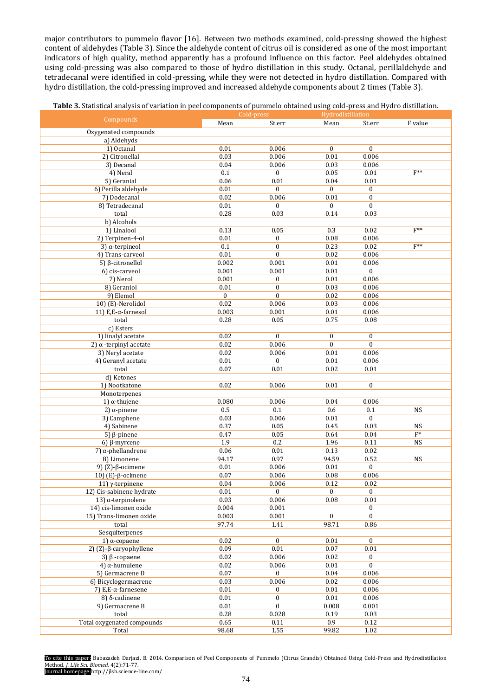major contributors to pummelo flavor [16]. Between two methods examined, cold-pressing showed the highest content of aldehydes (Table 3). Since the aldehyde content of citrus oil is considered as one of the most important indicators of high quality, method apparently has a profound influence on this factor. Peel aldehydes obtained using cold-pressing was also compared to those of hydro distillation in this study. Octanal, perillaldehyde and tetradecanal were identified in cold-pressing, while they were not detected in hydro distillation. Compared with hydro distillation, the cold-pressing improved and increased aldehyde components about 2 times (Table 3).

| Table 3. Statistical analysis of variation in peel components of pummelo obtained using cold-press and Hydro distillation. |  |  |
|----------------------------------------------------------------------------------------------------------------------------|--|--|
|                                                                                                                            |  |  |

|                                   | Cold-press   |                  | Hydrodistillation |                  |                |
|-----------------------------------|--------------|------------------|-------------------|------------------|----------------|
| Compounds                         | Mean         | St.err           | Mean              | St.err           | F value        |
| Oxygenated compounds              |              |                  |                   |                  |                |
| a) Aldehyds                       |              |                  |                   |                  |                |
| 1) Octanal                        | 0.01         | 0.006            | $\mathbf{0}$      | $\bf{0}$         |                |
| 2) Citronellal                    | 0.03         | 0.006            | 0.01              | 0.006            |                |
| 3) Decanal                        | $0.04\,$     | 0.006            | 0.03              | 0.006            |                |
| 4) Neral                          | 0.1          | $\overline{0}$   | 0.05              | 0.01             | $F^{**}$       |
| 5) Geranial                       | 0.06         | 0.01             | 0.04              | 0.01             |                |
| 6) Perilla aldehyde               | $0.01\,$     | $\boldsymbol{0}$ | $\bf{0}$          | $\boldsymbol{0}$ |                |
| 7) Dodecanal                      | 0.02         | 0.006            | 0.01              | $\boldsymbol{0}$ |                |
| 8) Tetradecanal                   | $0.01\,$     | $\boldsymbol{0}$ | $\boldsymbol{0}$  | $\boldsymbol{0}$ |                |
| total                             | 0.28         | 0.03             | 0.14              | 0.03             |                |
| b) Alcohols                       |              |                  |                   |                  |                |
| 1) Linalool                       | 0.13         | 0.05             | 0.3               | 0.02             | $F^{**}$       |
| 2) Terpinen-4-ol                  | 0.01         | $\mathbf{0}$     | 0.08              | 0.006            |                |
| 3) $\alpha$ -terpineol            | 0.1          | $\boldsymbol{0}$ | 0.23              | 0.02             | $F^{**}$       |
| 4) Trans-carveol                  | 0.01         | $\boldsymbol{0}$ | 0.02              | 0.006            |                |
|                                   | 0.002        | 0.001            | 0.01              |                  |                |
| 5) $β$ -citronellol               |              |                  |                   | 0.006            |                |
| 6) cis-carveol                    | 0.001        | 0.001            | $0.01\,$          | $\boldsymbol{0}$ |                |
| 7) Nerol                          | 0.001        | 0                | $0.01\,$          | 0.006            |                |
| 8) Geraniol                       | 0.01         | $\mathbf{0}$     | 0.03              | 0.006            |                |
| 9) Elemol                         | $\mathbf{0}$ | $\bf{0}$         | 0.02              | 0.006            |                |
| 10) (E)-Nerolidol                 | 0.02         | 0.006            | 0.03              | 0.006            |                |
| 11) E, E-α-farnesol               | 0.003        | 0.001            | 0.01              | 0.006            |                |
| total                             | 0.28         | 0.05             | 0.75              | 0.08             |                |
| c) Esters                         |              |                  |                   |                  |                |
| 1) linalyl acetate                | 0.02         | $\overline{0}$   | $\boldsymbol{0}$  | $\boldsymbol{0}$ |                |
| 2) $\alpha$ -terpinyl acetate     | 0.02         | 0.006            | $\boldsymbol{0}$  | $\boldsymbol{0}$ |                |
| 3) Neryl acetate                  | 0.02         | 0.006            | 0.01              | 0.006            |                |
| 4) Geranyl acetate                | 0.01         | $\bf{0}$         | $0.01\,$          | 0.006            |                |
| total                             | 0.07         | $0.01\,$         | 0.02              | 0.01             |                |
| d) Ketones                        |              |                  |                   |                  |                |
| 1) Nootkatone                     | 0.02         | 0.006            | 0.01              | $\boldsymbol{0}$ |                |
| Monoterpenes                      |              |                  |                   |                  |                |
| 1) $α$ -thujene                   | 0.080        | 0.006            | 0.04              | 0.006            |                |
| 2) $\alpha$ -pinene               | 0.5          | 0.1              | 0.6               | 0.1              | <b>NS</b>      |
| 3) Camphene                       | 0.03         | 0.006            | $0.01\,$          | 0                |                |
| 4) Sabinene                       | 0.37         | 0.05             | 0.45              | 0.03             | <b>NS</b>      |
| 5) $β$ -pinene                    | 0.47         | 0.05             | 0.64              | 0.04             | $\mathbf{F}^*$ |
| 6) β-myrcene                      | 1.9          | 0.2              | 1.96              | 0.11             | <b>NS</b>      |
| 7) $α$ -phellandrene              | 0.06         | 0.01             | 0.13              | 0.02             |                |
| 8) Limonene                       | 94.17        | 0.97             | 94.59             | 0.52             | <b>NS</b>      |
| 9) (Ζ)- $β$ -ocimene              | $0.01\,$     | 0.006            | $0.01\,$          | $\boldsymbol{0}$ |                |
| 10) (Ε)- $β$ -ocimene             | 0.07         | 0.006            | $0.08\,$          | 0.006            |                |
| 11) γ-terpinene                   | 0.04         | 0.006            | 0.12              | 0.02             |                |
| 12) Cis-sabinene hydrate          | $0.01\,$     | $\mathbf{0}$     | $\mathbf{0}$      | $\boldsymbol{0}$ |                |
| 13) α-terpinolene                 | 0.03         | 0.006            | 0.08              | 0.01             |                |
| 14) cis-limonen oxide             | 0.004        | 0.001            |                   | $\boldsymbol{0}$ |                |
| 15) Trans-limonen oxide           | 0.003        | 0.001            | $\bf{0}$          | $\mathbf{0}$     |                |
| total                             | 97.74        | 1.41             | 98.71             | 0.86             |                |
|                                   |              |                  |                   |                  |                |
| Sesquiterpenes                    | 0.02         |                  |                   |                  |                |
| 1) $α$ -copaene                   |              | $\boldsymbol{0}$ | $0.01\,$          | $\boldsymbol{0}$ |                |
| 2) $(Z)$ - $\beta$ -caryophyllene | 0.09         | 0.01             | 0.07              | 0.01             |                |
| 3) $β$ -copaene                   | $0.02\,$     | 0.006            | 0.02              | 0                |                |
| 4) α-humulene                     | 0.02         | 0.006            | $0.01\,$          | $\mathbf{0}$     |                |
| 5) Germacrene D                   | $0.07\,$     | $\boldsymbol{0}$ | 0.04              | 0.006            |                |
| 6) Bicyclogermacrene              | 0.03         | 0.006            | 0.02              | 0.006            |                |
| 7) E,E- $\alpha$ -farnesene       | $0.01\,$     | 0                | $0.01\,$          | 0.006            |                |
| $8)$ δ-cadinene                   | 0.01         | $\boldsymbol{0}$ | 0.01              | 0.006            |                |
| 9) Germacrene B                   | $0.01\,$     | $\overline{0}$   | 0.008             | 0.001            |                |
| total                             | 0.28         | 0.028            | 0.19              | 0.03             |                |
| Total oxygenated compounds        | 0.65         | 0.11             | 0.9               | 0.12             |                |
| Total                             | 98.68        | 1.55             | 99.82             | 1.02             |                |

To cite this paper: Babazadeh Darjazi, B. 2014. Comparison of Peel Components of Pummelo (Citrus Grandis) Obtained Using Cold-Press and Hydrodistillation Method. *J. Life Sci. Biomed.* 4(2):71-77. Journal homepage:http://jlsb.science-line.com/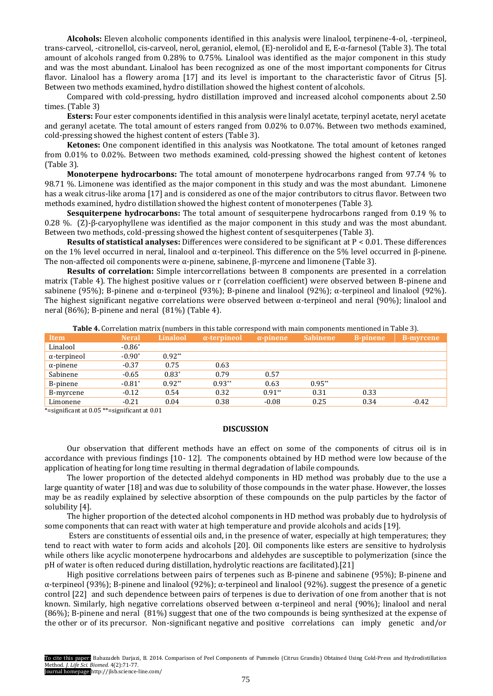**Alcohols:** Eleven alcoholic components identified in this analysis were linalool, terpinene-4-ol, -terpineol, trans-carveol, -citronellol, cis-carveol, nerol, geraniol, elemol, (E)-nerolidol and E, E-α-farnesol (Table 3). The total amount of alcohols ranged from 0.28% to 0.75%. Linalool was identified as the major component in this study and was the most abundant. Linalool has been recognized as one of the most important components for Citrus flavor. Linalool has a flowery aroma [17] and its level is important to the characteristic favor of Citrus [5]. Between two methods examined, hydro distillation showed the highest content of alcohols.

Compared with cold-pressing, hydro distillation improved and increased alcohol components about 2.50 times. (Table 3)

**Esters:** Four ester components identified in this analysis were linalyl acetate, terpinyl acetate, neryl acetate and geranyl acetate. The total amount of esters ranged from 0.02% to 0.07%. Between two methods examined, cold-pressing showed the highest content of esters (Table 3).

**Ketones:** One component identified in this analysis was Nootkatone. The total amount of ketones ranged from 0.01% to 0.02%. Between two methods examined, cold-pressing showed the highest content of ketones (Table 3).

**Monoterpene hydrocarbons:** The total amount of monoterpene hydrocarbons ranged from 97.74 % to 98.71 %. Limonene was identified as the major component in this study and was the most abundant. Limonene has a weak citrus-like aroma [17] and is considered as one of the major contributors to citrus flavor. Between two methods examined, hydro distillation showed the highest content of monoterpenes (Table 3).

**Sesquiterpene hydrocarbons:** The total amount of sesquiterpene hydrocarbons ranged from 0.19 % to 0.28 %. (Z)-β-caryophyllene was identified as the major component in this study and was the most abundant. Between two methods, cold-pressing showed the highest content of sesquiterpenes (Table 3).

**Results of statistical analyses:** Differences were considered to be significant at P < 0.01. These differences on the 1% level occurred in neral, linalool and α-terpineol. This difference on the 5% level occurred in β-pinene. The non-affected oil components were α-pinene, sabinene,  $β$ -myrcene and limonene (Table 3).

**Results of correlation:** Simple intercorrellations between 8 components are presented in a correlation matrix (Table 4). The highest positive values or r (correlation coefficient) were observed between Β-pinene and sabinene (95%); B-pinene and α-terpineol (93%); B-pinene and linalool (92%); α-terpineol and linalool (92%). The highest significant negative correlations were observed between  $\alpha$ -terpineol and neral (90%); linalool and neral (86%); Β-pinene and neral (81%) (Table 4).

| <b>Table 4.</b> Correlation matrix (numbers in this table correspond with main components mentioned in Table 3). |  |  |  |  |
|------------------------------------------------------------------------------------------------------------------|--|--|--|--|
|------------------------------------------------------------------------------------------------------------------|--|--|--|--|

| <b>Neral</b> | Linalool | $\alpha$ -terpineol | $\alpha$ -pinene | <b>Sabinene</b> | <b>B-pinene</b> | 'B-myrcene |
|--------------|----------|---------------------|------------------|-----------------|-----------------|------------|
| $-0.86*$     |          |                     |                  |                 |                 |            |
| $-0.90*$     | $0.92**$ |                     |                  |                 |                 |            |
| $-0.37$      | 0.75     | 0.63                |                  |                 |                 |            |
| $-0.65$      | $0.83*$  | 0.79                | 0.57             |                 |                 |            |
| $-0.81*$     | $0.92**$ | $0.93**$            | 0.63             | $0.95**$        |                 |            |
| $-0.12$      | 0.54     | 0.32                | $0.91**$         | 0.31            | 0.33            |            |
| $-0.21$      | 0.04     | 0.38                | $-0.08$          | 0.25            | 0.34            | $-0.42$    |
|              |          |                     |                  |                 |                 |            |

\*=significant at 0.05 \*\*=significant at 0.01

# **DISCUSSION**

Our observation that different methods have an effect on some of the components of citrus oil is in accordance with previous findings [10- 12]. The components obtained by HD method were low because of the application of heating for long time resulting in thermal degradation of labile compounds.

The lower proportion of the detected aldehyd components in HD method was probably due to the use a large quantity of water [18] and was due to solubility of those compounds in the water phase. However, the losses may be as readily explained by selective absorption of these compounds on the pulp particles by the factor of solubility [4].

The higher proportion of the detected alcohol components in HD method was probably due to hydrolysis of some components that can react with water at high temperature and provide alcohols and acids [19].

Esters are constituents of essential oils and, in the presence of water, especially at high temperatures; they tend to react with water to form acids and alcohols [20]. Oil components like esters are sensitive to hydrolysis while others like acyclic monoterpene hydrocarbons and aldehydes are susceptible to polymerization (since the pH of water is often reduced during distillation, hydrolytic reactions are facilitated).[21]

High positive correlations between pairs of terpenes such as Β-pinene and sabinene (95%); Β-pinene and α-terpineol (93%); Β-pinene and linalool (92%); α-terpineol and linalool (92%). suggest the presence of a genetic control [22] and such dependence between pairs of terpenes is due to derivation of one from another that is not known. Similarly, high negative correlations observed between α-terpineol and neral (90%); linalool and neral (86%); Β-pinene and neral (81%) suggest that one of the two compounds is being synthesized at the expense of the other or of its precursor. Non-significant negative and positive correlations can imply genetic and/or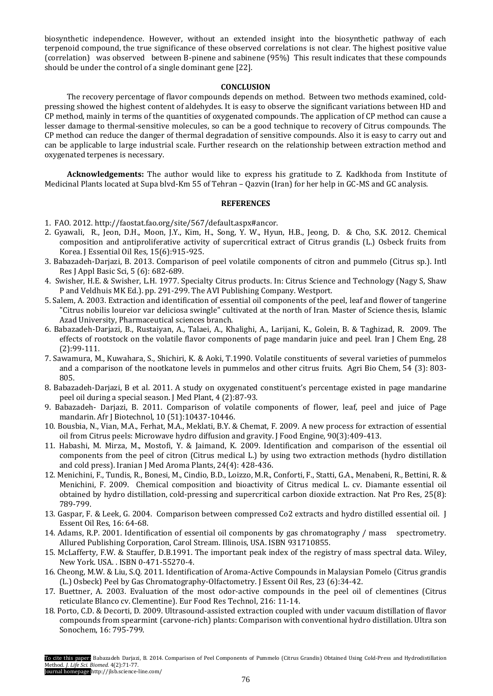biosynthetic independence. However, without an extended insight into the biosynthetic pathway of each terpenoid compound, the true significance of these observed correlations is not clear. The highest positive value (correlation) was observed between Β-pinene and sabinene (95%) This result indicates that these compounds should be under the control of a single dominant gene [22].

# **CONCLUSION**

The recovery percentage of flavor compounds depends on method. Between two methods examined, coldpressing showed the highest content of aldehydes. It is easy to observe the significant variations between HD and CP method, mainly in terms of the quantities of oxygenated compounds. The application of CP method can cause a lesser damage to thermal-sensitive molecules, so can be a good technique to recovery of Citrus compounds. The CP method can reduce the danger of thermal degradation of sensitive compounds. Also it is easy to carry out and can be applicable to large industrial scale. Further research on the relationship between extraction method and oxygenated terpenes is necessary.

**Acknowledgements:** The author would like to express his gratitude to Z. Kadkhoda from Institute of Medicinal Plants located at Supa blvd-Km 55 of Tehran – Qazvin (Iran) for her help in GC-MS and GC analysis.

# **REFERENCES**

- 1. FAO. 2012. http://faostat.fao.org/site/567/default.aspx#ancor.
- 2. Gyawali, R., Jeon, D.H., Moon, J.Y., Kim, H., Song, Y. W., Hyun, H.B., Jeong, D. & Cho, S.K. 2012. Chemical composition and antiproliferative activity of supercritical extract of Citrus grandis (L.) Osbeck fruits from Korea. J Essential Oil Res, 15(6):915-925.
- 3. Babazadeh-Darjazi, B. 2013. Comparison of peel volatile components of citron and pummelo (Citrus sp.). Intl Res J Appl Basic Sci, 5 (6): 682-689.
- 4. Swisher, H.E. & Swisher, L.H. 1977. Specialty Citrus products. In: Citrus Science and Technology (Nagy S, Shaw P and Veldhuis MK Ed.). pp. 291-299. The AVI Publishing Company. Westport.
- 5. Salem, A. 2003. Extraction and identification of essential oil components of the peel, leaf and flower of tangerine "Citrus nobilis loureior var deliciosa swingle" cultivated at the north of Iran. Master of Science thesis, Islamic Azad University, Pharmaceutical sciences branch.
- 6. Babazadeh-Darjazi, B., Rustaiyan, A., Talaei, A., Khalighi, A., Larijani, K., Golein, B. & Taghizad, R. 2009. The effects of rootstock on the volatile flavor components of page mandarin juice and peel. Iran J Chem Eng, 28 (2):99-111.
- 7. Sawamura, M., Kuwahara, S., Shichiri, K. & Aoki, T.1990. Volatile constituents of several varieties of pummelos and a comparison of the nootkatone levels in pummelos and other citrus fruits. Agri Bio Chem, 54 (3): 803- 805.
- 8. Babazadeh-Darjazi, B et al. 2011. A study on oxygenated constituent's percentage existed in page mandarine peel oil during a special season. J Med Plant, 4 (2):87-93.
- 9. Babazadeh- Darjazi, B. 2011. Comparison of volatile components of flower, leaf, peel and juice of Page mandarin. Afr J Biotechnol, 10 (51):10437-10446.
- 10. Bousbia, N., Vian, M.A., Ferhat, M.A., Meklati, B.Y. & Chemat, F. 2009. A new process for extraction of essential oil from Citrus peels: Microwave hydro diffusion and gravity. J Food Engine, 90(3):409-413.
- 11. Habashi, M. Mirza, M., Mostofi, Y. & Jaimand, K. 2009. Identification and comparison of the essential oil components from the peel of citron (Citrus medical L.) by using two extraction methods (hydro distillation and cold press). Iranian J Med Aroma Plants, 24(4): 428-436.
- 12. Menichini, F., Tundis, R., Bonesi, M., Cindio, B.D., Loizzo, M.R., Conforti, F., Statti, G.A., Menabeni, R., Bettini, R. & Menichini, F. 2009. Chemical composition and bioactivity of Citrus medical L. cv. Diamante essential oil obtained by hydro distillation, cold-pressing and supercritical carbon dioxide extraction. Nat Pro Res, 25(8): 789-799.
- 13. Gaspar, F. & Leek, G. 2004. Comparison between compressed Co2 extracts and hydro distilled essential oil. J Essent Oil Res, 16: 64-68.
- 14. Adams, R.P. 2001. Identification of essential oil components by gas chromatography / mass spectrometry. Allured Publishing Corporation, Carol Stream. Illinois, USA. ISBN 931710855.
- 15. McLafferty, F.W. & Stauffer, D.B.1991. The important peak index of the registry of mass spectral data. Wiley, New York. USA. . ISBN 0-471-55270-4.
- 16. Cheong, M.W. & Liu, S.Q. 2011. Identification of Aroma-Active Compounds in Malaysian Pomelo (Citrus grandis (L.) Osbeck) Peel by Gas Chromatography-Olfactometry. J Essent Oil Res, 23 (6):34-42.
- 17. Buettner, A. 2003. Evaluation of the most odor-active compounds in the peel oil of clementines (Citrus reticulate Blanco cv. Clementine). Eur Food Res Technol, 216: 11-14.
- 18. Porto, C.D. & Decorti, D. 2009. Ultrasound-assisted extraction coupled with under vacuum distillation of flavor compounds from spearmint (carvone-rich) plants: Comparison with conventional hydro distillation. Ultra son Sonochem, 16: 795-799.